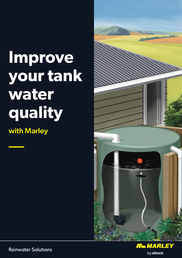# **Improve your tank water quality**

with Marley





**Rainwater Solutions**